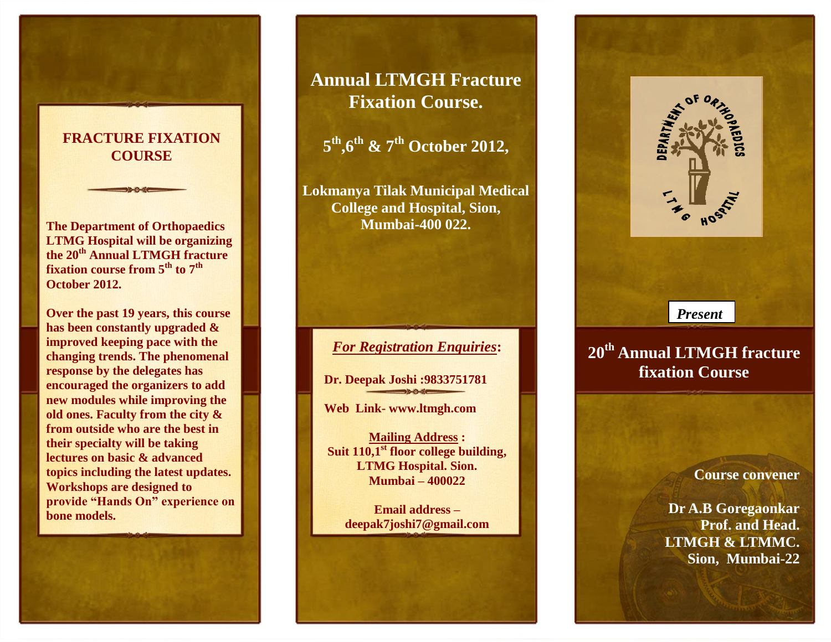## **FRACTURE FIXATION COURSE**

**The Department of Orthopaedics LTMG Hospital will be organizing the 20th Annual LTMGH fracture fixation course from 5th to 7 th October 2012.**

**Over the past 19 years, this course has been constantly upgraded & improved keeping pace with the changing trends. The phenomenal response by the delegates has encouraged the organizers to add new modules while improving the old ones. Faculty from the city & from outside who are the best in their specialty will be taking lectures on basic & advanced topics including the latest updates. Workshops are designed to provide "Hands On" experience on bone models.**

## **Annual LTMGH Fracture Fixation Course.**

**5 th ,6 th & 7 th October 2012,**

**Lokmanya Tilak Municipal Medical College and Hospital, Sion, Mumbai-400 022.**

*For Registration Enquiries***:**

**Dr. Deepak Joshi :9833751781**

**Web Link- www.ltmgh.com** 

**Mailing Address : Suit 110,1 st floor college building, LTMG Hospital. Sion. Mumbai – 400022**

**Email address – deepak7joshi7@gmail.com**



# **20th Annual LTMGH fracture fixation Course**

**Course convener**

**Dr A.B Goregaonkar Prof. and Head. LTMGH & LTMMC. Sion, Mumbai-22**